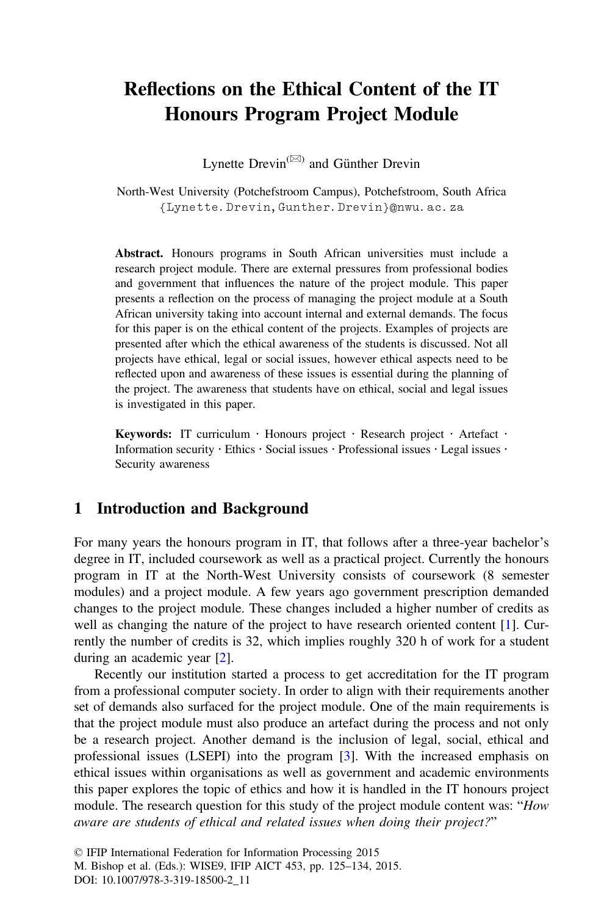# <span id="page-0-0"></span>Reflections on the Ethical Content of the IT Honours Program Project Module

Lynette Drevin<sup>( $\boxtimes$ )</sup> and Günther Drevin

North-West University (Potchefstroom Campus), Potchefstroom, South Africa {Lynette.Drevin,Gunther.Drevin}@nwu.ac.za

Abstract. Honours programs in South African universities must include a research project module. There are external pressures from professional bodies and government that influences the nature of the project module. This paper presents a reflection on the process of managing the project module at a South African university taking into account internal and external demands. The focus for this paper is on the ethical content of the projects. Examples of projects are presented after which the ethical awareness of the students is discussed. Not all projects have ethical, legal or social issues, however ethical aspects need to be reflected upon and awareness of these issues is essential during the planning of the project. The awareness that students have on ethical, social and legal issues is investigated in this paper.

Keywords: IT curriculum · Honours project · Research project · Artefact · Information security · Ethics · Social issues · Professional issues · Legal issues · Security awareness

#### 1 Introduction and Background

For many years the honours program in IT, that follows after a three-year bachelor's degree in IT, included coursework as well as a practical project. Currently the honours program in IT at the North-West University consists of coursework (8 semester modules) and a project module. A few years ago government prescription demanded changes to the project module. These changes included a higher number of credits as well as changing the nature of the project to have research oriented content [\[1](#page-9-0)]. Currently the number of credits is 32, which implies roughly 320 h of work for a student during an academic year [[2\]](#page-9-0).

Recently our institution started a process to get accreditation for the IT program from a professional computer society. In order to align with their requirements another set of demands also surfaced for the project module. One of the main requirements is that the project module must also produce an artefact during the process and not only be a research project. Another demand is the inclusion of legal, social, ethical and professional issues (LSEPI) into the program [\[3](#page-9-0)]. With the increased emphasis on ethical issues within organisations as well as government and academic environments this paper explores the topic of ethics and how it is handled in the IT honours project module. The research question for this study of the project module content was: "How aware are students of ethical and related issues when doing their project?"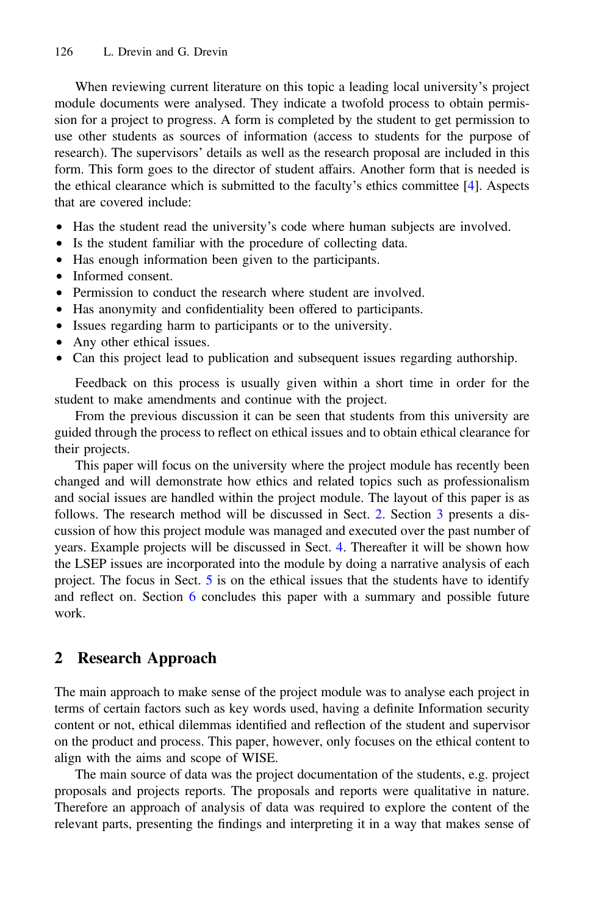When reviewing current literature on this topic a leading local university's project module documents were analysed. They indicate a twofold process to obtain permission for a project to progress. A form is completed by the student to get permission to use other students as sources of information (access to students for the purpose of research). The supervisors' details as well as the research proposal are included in this form. This form goes to the director of student affairs. Another form that is needed is the ethical clearance which is submitted to the faculty's ethics committee [\[4](#page-9-0)]. Aspects that are covered include:

- Has the student read the university's code where human subjects are involved.
- Is the student familiar with the procedure of collecting data.
- Has enough information been given to the participants.
- Informed consent.
- Permission to conduct the research where student are involved.
- Has anonymity and confidentiality been offered to participants.
- Issues regarding harm to participants or to the university.
- Any other ethical issues.
- Can this project lead to publication and subsequent issues regarding authorship.

Feedback on this process is usually given within a short time in order for the student to make amendments and continue with the project.

From the previous discussion it can be seen that students from this university are guided through the process to reflect on ethical issues and to obtain ethical clearance for their projects.

This paper will focus on the university where the project module has recently been changed and will demonstrate how ethics and related topics such as professionalism and social issues are handled within the project module. The layout of this paper is as follows. The research method will be discussed in Sect. 2. Section [3](#page-2-0) presents a discussion of how this project module was managed and executed over the past number of years. Example projects will be discussed in Sect. [4.](#page-4-0) Thereafter it will be shown how the LSEP issues are incorporated into the module by doing a narrative analysis of each project. The focus in Sect. [5](#page-5-0) is on the ethical issues that the students have to identify and reflect on. Section [6](#page-8-0) concludes this paper with a summary and possible future work.

## 2 Research Approach

The main approach to make sense of the project module was to analyse each project in terms of certain factors such as key words used, having a definite Information security content or not, ethical dilemmas identified and reflection of the student and supervisor on the product and process. This paper, however, only focuses on the ethical content to align with the aims and scope of WISE.

The main source of data was the project documentation of the students, e.g. project proposals and projects reports. The proposals and reports were qualitative in nature. Therefore an approach of analysis of data was required to explore the content of the relevant parts, presenting the findings and interpreting it in a way that makes sense of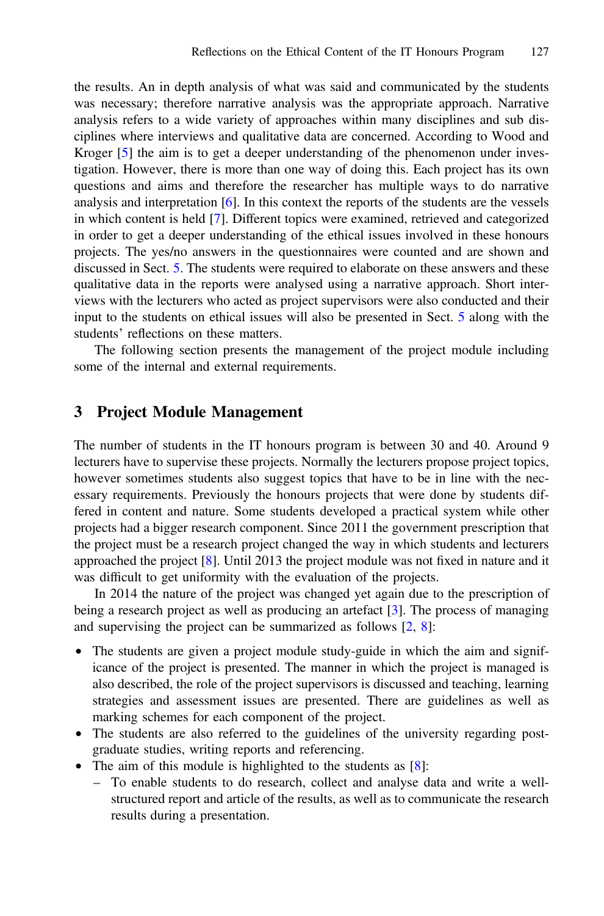<span id="page-2-0"></span>the results. An in depth analysis of what was said and communicated by the students was necessary; therefore narrative analysis was the appropriate approach. Narrative analysis refers to a wide variety of approaches within many disciplines and sub disciplines where interviews and qualitative data are concerned. According to Wood and Kroger [\[5](#page-9-0)] the aim is to get a deeper understanding of the phenomenon under investigation. However, there is more than one way of doing this. Each project has its own questions and aims and therefore the researcher has multiple ways to do narrative analysis and interpretation [\[6](#page-9-0)]. In this context the reports of the students are the vessels in which content is held [[7\]](#page-9-0). Different topics were examined, retrieved and categorized in order to get a deeper understanding of the ethical issues involved in these honours projects. The yes/no answers in the questionnaires were counted and are shown and discussed in Sect. [5](#page-5-0). The students were required to elaborate on these answers and these qualitative data in the reports were analysed using a narrative approach. Short interviews with the lecturers who acted as project supervisors were also conducted and their input to the students on ethical issues will also be presented in Sect. [5](#page-5-0) along with the students' reflections on these matters.

The following section presents the management of the project module including some of the internal and external requirements.

#### 3 Project Module Management

The number of students in the IT honours program is between 30 and 40. Around 9 lecturers have to supervise these projects. Normally the lecturers propose project topics, however sometimes students also suggest topics that have to be in line with the necessary requirements. Previously the honours projects that were done by students differed in content and nature. Some students developed a practical system while other projects had a bigger research component. Since 2011 the government prescription that the project must be a research project changed the way in which students and lecturers approached the project [[8\]](#page-9-0). Until 2013 the project module was not fixed in nature and it was difficult to get uniformity with the evaluation of the projects.

In 2014 the nature of the project was changed yet again due to the prescription of being a research project as well as producing an artefact [[3\]](#page-9-0). The process of managing and supervising the project can be summarized as follows [[2,](#page-9-0) [8](#page-9-0)]:

- The students are given a project module study-guide in which the aim and significance of the project is presented. The manner in which the project is managed is also described, the role of the project supervisors is discussed and teaching, learning strategies and assessment issues are presented. There are guidelines as well as marking schemes for each component of the project.
- The students are also referred to the guidelines of the university regarding postgraduate studies, writing reports and referencing.
- The aim of this module is highlighted to the students as [[8\]](#page-9-0):
	- To enable students to do research, collect and analyse data and write a wellstructured report and article of the results, as well as to communicate the research results during a presentation.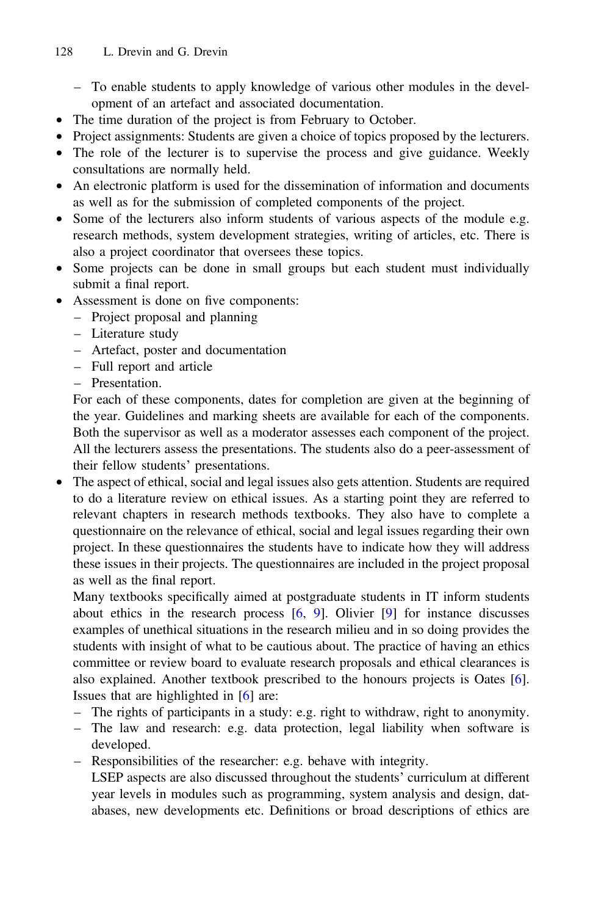– To enable students to apply knowledge of various other modules in the development of an artefact and associated documentation.

- The time duration of the project is from February to October.
- Project assignments: Students are given a choice of topics proposed by the lecturers.
- The role of the lecturer is to supervise the process and give guidance. Weekly consultations are normally held.
- An electronic platform is used for the dissemination of information and documents as well as for the submission of completed components of the project.
- Some of the lecturers also inform students of various aspects of the module e.g. research methods, system development strategies, writing of articles, etc. There is also a project coordinator that oversees these topics.
- Some projects can be done in small groups but each student must individually submit a final report.
- Assessment is done on five components:
	- Project proposal and planning
	- Literature study
	- Artefact, poster and documentation
	- Full report and article
	- Presentation.

For each of these components, dates for completion are given at the beginning of the year. Guidelines and marking sheets are available for each of the components. Both the supervisor as well as a moderator assesses each component of the project. All the lecturers assess the presentations. The students also do a peer-assessment of their fellow students' presentations.

• The aspect of ethical, social and legal issues also gets attention. Students are required to do a literature review on ethical issues. As a starting point they are referred to relevant chapters in research methods textbooks. They also have to complete a questionnaire on the relevance of ethical, social and legal issues regarding their own project. In these questionnaires the students have to indicate how they will address these issues in their projects. The questionnaires are included in the project proposal as well as the final report.

Many textbooks specifically aimed at postgraduate students in IT inform students about ethics in the research process [\[6](#page-9-0), [9](#page-9-0)]. Olivier [[9\]](#page-9-0) for instance discusses examples of unethical situations in the research milieu and in so doing provides the students with insight of what to be cautious about. The practice of having an ethics committee or review board to evaluate research proposals and ethical clearances is also explained. Another textbook prescribed to the honours projects is Oates [[6\]](#page-9-0). Issues that are highlighted in [[6\]](#page-9-0) are:

- The rights of participants in a study: e.g. right to withdraw, right to anonymity.
- The law and research: e.g. data protection, legal liability when software is developed.
- Responsibilities of the researcher: e.g. behave with integrity.

LSEP aspects are also discussed throughout the students' curriculum at different year levels in modules such as programming, system analysis and design, databases, new developments etc. Definitions or broad descriptions of ethics are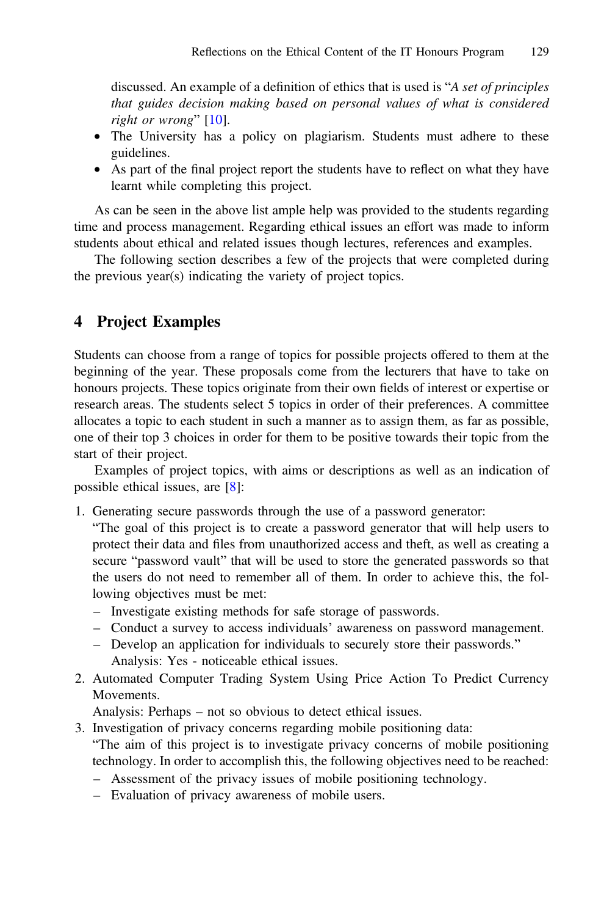<span id="page-4-0"></span>discussed. An example of a definition of ethics that is used is "A set of principles that guides decision making based on personal values of what is considered right or wrong" [[10\]](#page-9-0).

- The University has a policy on plagiarism. Students must adhere to these guidelines.
- As part of the final project report the students have to reflect on what they have learnt while completing this project.

As can be seen in the above list ample help was provided to the students regarding time and process management. Regarding ethical issues an effort was made to inform students about ethical and related issues though lectures, references and examples.

The following section describes a few of the projects that were completed during the previous year(s) indicating the variety of project topics.

## 4 Project Examples

Students can choose from a range of topics for possible projects offered to them at the beginning of the year. These proposals come from the lecturers that have to take on honours projects. These topics originate from their own fields of interest or expertise or research areas. The students select 5 topics in order of their preferences. A committee allocates a topic to each student in such a manner as to assign them, as far as possible, one of their top 3 choices in order for them to be positive towards their topic from the start of their project.

Examples of project topics, with aims or descriptions as well as an indication of possible ethical issues, are [\[8](#page-9-0)]:

1. Generating secure passwords through the use of a password generator:

"The goal of this project is to create a password generator that will help users to protect their data and files from unauthorized access and theft, as well as creating a secure "password vault" that will be used to store the generated passwords so that the users do not need to remember all of them. In order to achieve this, the following objectives must be met:

- Investigate existing methods for safe storage of passwords.
- Conduct a survey to access individuals' awareness on password management.
- Develop an application for individuals to securely store their passwords." Analysis: Yes - noticeable ethical issues.
- 2. Automated Computer Trading System Using Price Action To Predict Currency Movements.

Analysis: Perhaps – not so obvious to detect ethical issues.

3. Investigation of privacy concerns regarding mobile positioning data:

"The aim of this project is to investigate privacy concerns of mobile positioning technology. In order to accomplish this, the following objectives need to be reached:

- Assessment of the privacy issues of mobile positioning technology.
- Evaluation of privacy awareness of mobile users.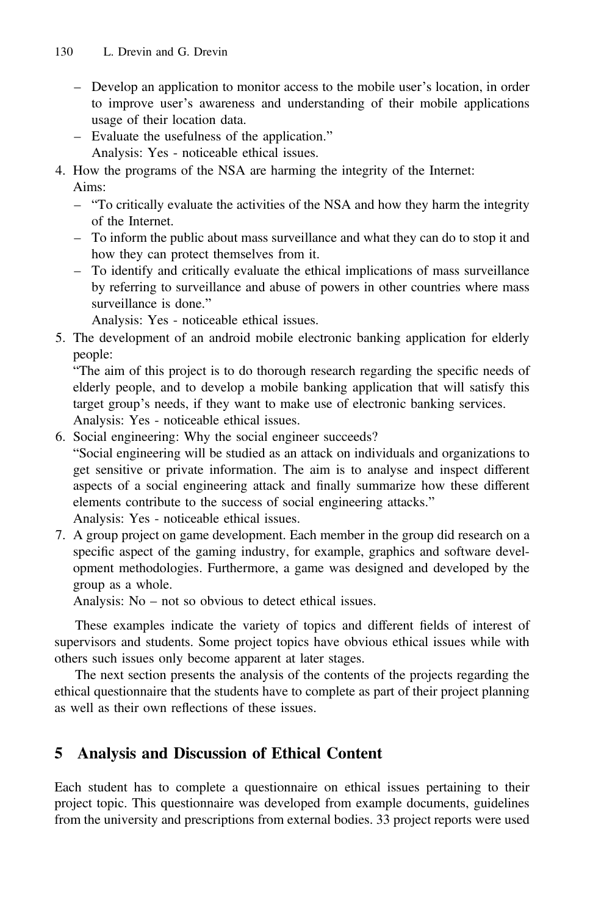- <span id="page-5-0"></span>– Develop an application to monitor access to the mobile user's location, in order to improve user's awareness and understanding of their mobile applications usage of their location data.
- Evaluate the usefulness of the application."
	- Analysis: Yes noticeable ethical issues.
- 4. How the programs of the NSA are harming the integrity of the Internet: Aims:
	- "To critically evaluate the activities of the NSA and how they harm the integrity of the Internet.
	- To inform the public about mass surveillance and what they can do to stop it and how they can protect themselves from it.
	- To identify and critically evaluate the ethical implications of mass surveillance by referring to surveillance and abuse of powers in other countries where mass surveillance is done."

Analysis: Yes - noticeable ethical issues.

5. The development of an android mobile electronic banking application for elderly people:

"The aim of this project is to do thorough research regarding the specific needs of elderly people, and to develop a mobile banking application that will satisfy this target group's needs, if they want to make use of electronic banking services. Analysis: Yes - noticeable ethical issues.

6. Social engineering: Why the social engineer succeeds?

"Social engineering will be studied as an attack on individuals and organizations to get sensitive or private information. The aim is to analyse and inspect different aspects of a social engineering attack and finally summarize how these different elements contribute to the success of social engineering attacks."

Analysis: Yes - noticeable ethical issues.

7. A group project on game development. Each member in the group did research on a specific aspect of the gaming industry, for example, graphics and software development methodologies. Furthermore, a game was designed and developed by the group as a whole.

Analysis: No – not so obvious to detect ethical issues.

These examples indicate the variety of topics and different fields of interest of supervisors and students. Some project topics have obvious ethical issues while with others such issues only become apparent at later stages.

The next section presents the analysis of the contents of the projects regarding the ethical questionnaire that the students have to complete as part of their project planning as well as their own reflections of these issues.

# 5 Analysis and Discussion of Ethical Content

Each student has to complete a questionnaire on ethical issues pertaining to their project topic. This questionnaire was developed from example documents, guidelines from the university and prescriptions from external bodies. 33 project reports were used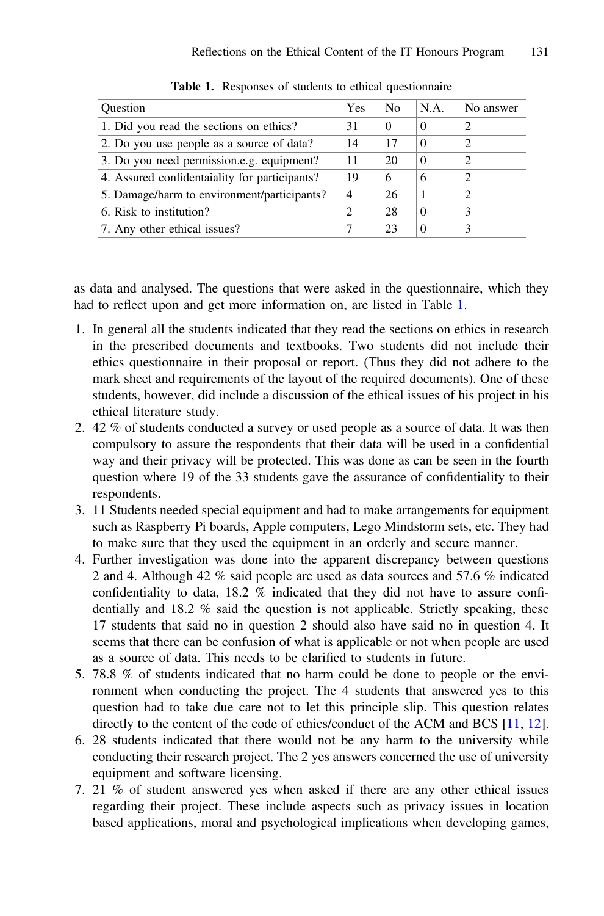<span id="page-6-0"></span>

| Ouestion                                     | Yes            | No       | N.A.     | No answer |
|----------------------------------------------|----------------|----------|----------|-----------|
| 1. Did you read the sections on ethics?      | 31             | $\Omega$ | $\Omega$ | 2         |
| 2. Do you use people as a source of data?    | 14             | 17       | $\Omega$ |           |
| 3. Do you need permission.e.g. equipment?    | 11             | 20       | $\Omega$ | 2         |
| 4. Assured confidentaility for participants? | 19             | 6        | 6        | 2         |
| 5. Damage/harm to environment/participants?  | $\overline{4}$ | 26       |          | 2         |
| 6. Risk to institution?                      |                | 28       | $\Omega$ | 3         |
| 7. Any other ethical issues?                 |                | 23       | $\Omega$ | 3         |

Table 1. Responses of students to ethical questionnaire

as data and analysed. The questions that were asked in the questionnaire, which they had to reflect upon and get more information on, are listed in Table 1.

- 1. In general all the students indicated that they read the sections on ethics in research in the prescribed documents and textbooks. Two students did not include their ethics questionnaire in their proposal or report. (Thus they did not adhere to the mark sheet and requirements of the layout of the required documents). One of these students, however, did include a discussion of the ethical issues of his project in his ethical literature study.
- 2. 42 % of students conducted a survey or used people as a source of data. It was then compulsory to assure the respondents that their data will be used in a confidential way and their privacy will be protected. This was done as can be seen in the fourth question where 19 of the 33 students gave the assurance of confidentiality to their respondents.
- 3. 11 Students needed special equipment and had to make arrangements for equipment such as Raspberry Pi boards, Apple computers, Lego Mindstorm sets, etc. They had to make sure that they used the equipment in an orderly and secure manner.
- 4. Further investigation was done into the apparent discrepancy between questions 2 and 4. Although 42 % said people are used as data sources and 57.6 % indicated confidentiality to data, 18.2 % indicated that they did not have to assure confidentially and 18.2 % said the question is not applicable. Strictly speaking, these 17 students that said no in question 2 should also have said no in question 4. It seems that there can be confusion of what is applicable or not when people are used as a source of data. This needs to be clarified to students in future.
- 5. 78.8 % of students indicated that no harm could be done to people or the environment when conducting the project. The 4 students that answered yes to this question had to take due care not to let this principle slip. This question relates directly to the content of the code of ethics/conduct of the ACM and BCS [[11,](#page-9-0) [12\]](#page-9-0).
- 6. 28 students indicated that there would not be any harm to the university while conducting their research project. The 2 yes answers concerned the use of university equipment and software licensing.
- 7. 21 % of student answered yes when asked if there are any other ethical issues regarding their project. These include aspects such as privacy issues in location based applications, moral and psychological implications when developing games,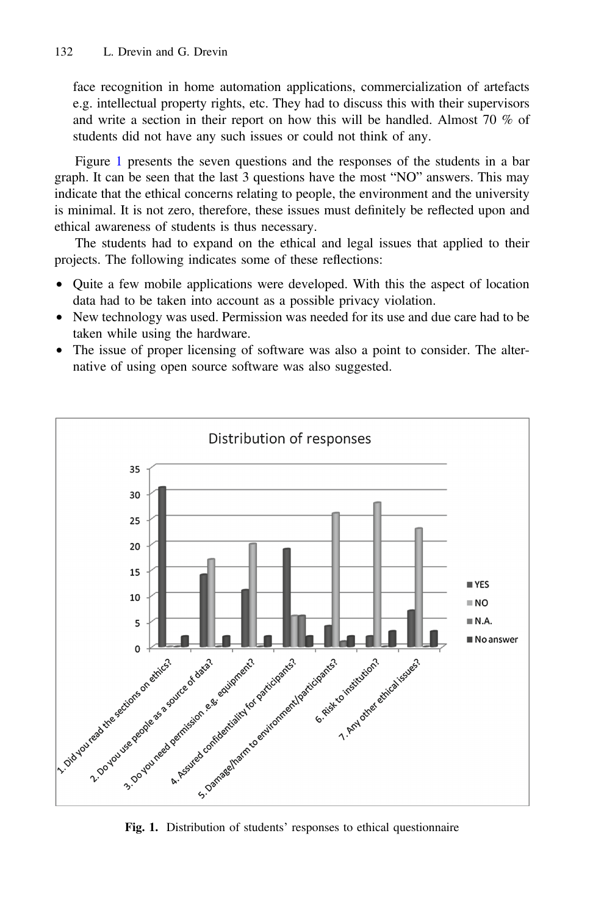<span id="page-7-0"></span>face recognition in home automation applications, commercialization of artefacts e.g. intellectual property rights, etc. They had to discuss this with their supervisors and write a section in their report on how this will be handled. Almost 70 % of students did not have any such issues or could not think of any.

Figure 1 presents the seven questions and the responses of the students in a bar graph. It can be seen that the last 3 questions have the most "NO" answers. This may indicate that the ethical concerns relating to people, the environment and the university is minimal. It is not zero, therefore, these issues must definitely be reflected upon and ethical awareness of students is thus necessary.

The students had to expand on the ethical and legal issues that applied to their projects. The following indicates some of these reflections:

- Quite a few mobile applications were developed. With this the aspect of location data had to be taken into account as a possible privacy violation.
- New technology was used. Permission was needed for its use and due care had to be taken while using the hardware.
- The issue of proper licensing of software was also a point to consider. The alternative of using open source software was also suggested.



Fig. 1. Distribution of students' responses to ethical questionnaire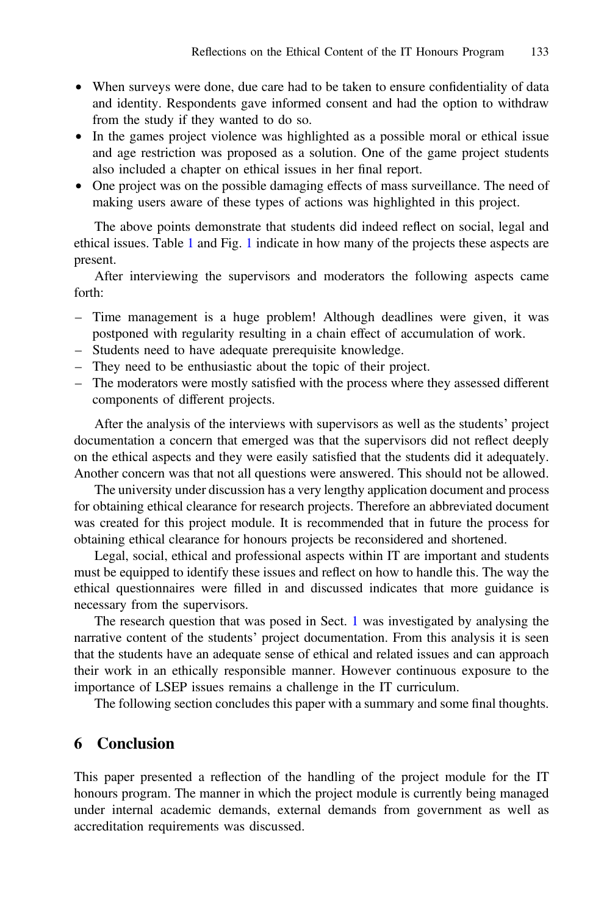- <span id="page-8-0"></span>• When surveys were done, due care had to be taken to ensure confidentiality of data and identity. Respondents gave informed consent and had the option to withdraw from the study if they wanted to do so.
- In the games project violence was highlighted as a possible moral or ethical issue and age restriction was proposed as a solution. One of the game project students also included a chapter on ethical issues in her final report.
- One project was on the possible damaging effects of mass surveillance. The need of making users aware of these types of actions was highlighted in this project.

The above points demonstrate that students did indeed reflect on social, legal and ethical issues. Table [1](#page-6-0) and Fig. [1](#page-7-0) indicate in how many of the projects these aspects are present.

After interviewing the supervisors and moderators the following aspects came forth:

- Time management is a huge problem! Although deadlines were given, it was postponed with regularity resulting in a chain effect of accumulation of work.
- Students need to have adequate prerequisite knowledge.
- They need to be enthusiastic about the topic of their project.
- The moderators were mostly satisfied with the process where they assessed different components of different projects.

After the analysis of the interviews with supervisors as well as the students' project documentation a concern that emerged was that the supervisors did not reflect deeply on the ethical aspects and they were easily satisfied that the students did it adequately. Another concern was that not all questions were answered. This should not be allowed.

The university under discussion has a very lengthy application document and process for obtaining ethical clearance for research projects. Therefore an abbreviated document was created for this project module. It is recommended that in future the process for obtaining ethical clearance for honours projects be reconsidered and shortened.

Legal, social, ethical and professional aspects within IT are important and students must be equipped to identify these issues and reflect on how to handle this. The way the ethical questionnaires were filled in and discussed indicates that more guidance is necessary from the supervisors.

The research question that was posed in Sect. [1](#page-0-0) was investigated by analysing the narrative content of the students' project documentation. From this analysis it is seen that the students have an adequate sense of ethical and related issues and can approach their work in an ethically responsible manner. However continuous exposure to the importance of LSEP issues remains a challenge in the IT curriculum.

The following section concludes this paper with a summary and some final thoughts.

## 6 Conclusion

This paper presented a reflection of the handling of the project module for the IT honours program. The manner in which the project module is currently being managed under internal academic demands, external demands from government as well as accreditation requirements was discussed.